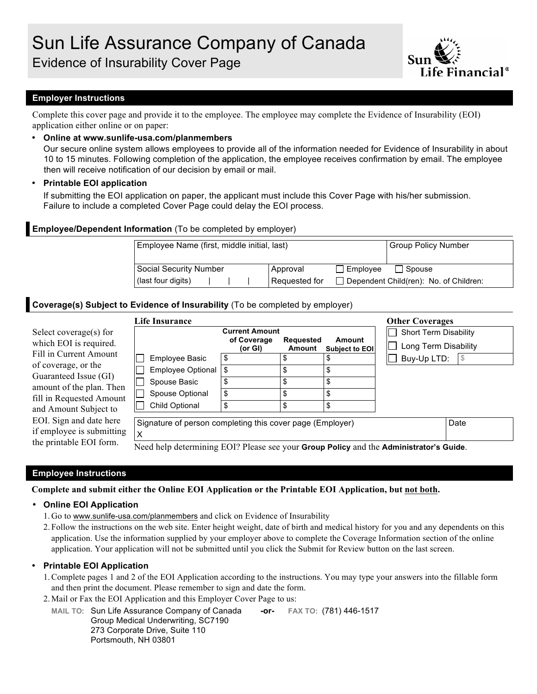

# **Employer Instructions**

Complete this cover page and provide it to the employee. The employee may complete the Evidence of Insurability (EOI) application either online or on paper:

## • **Online at www.sunlife-usa.com/planmembers**

Our secure online system allows employees to provide all of the information needed for Evidence of Insurability in about 10 to 15 minutes. Following completion of the application, the employee receives confirmation by email. The employee then will receive notification of our decision by email or mail.

## • **Printable EOI application**

If submitting the EOI application on paper, the applicant must include this Cover Page with his/her submission. Failure to include a completed Cover Page could delay the EOI process.

# **Employee/Dependent Information** (To be completed by employer)

| Employee Name (first, middle initial, last) | Group Policy Number |                                               |  |  |
|---------------------------------------------|---------------------|-----------------------------------------------|--|--|
| Social Security Number                      | Approval            | $\Box$ Employee<br>l Spouse                   |  |  |
| (last four digits)                          | Requested for       | $\Box$ Dependent Child(ren): No. of Children: |  |  |

# **Coverage(s) Subject to Evidence of Insurability** (To be completed by employer)

|                                                                            | <b>Life Insurance</b>                                                                  |                                                 |                            |                          | <b>Other Coverages</b>                               |      |
|----------------------------------------------------------------------------|----------------------------------------------------------------------------------------|-------------------------------------------------|----------------------------|--------------------------|------------------------------------------------------|------|
| Select coverage(s) for<br>which EOI is required.<br>Fill in Current Amount |                                                                                        | <b>Current Amount</b><br>of Coverage<br>(or Gl) | <b>Requested</b><br>Amount | Amount<br>Subject to EOI | Short Term Disability<br>$\Box$ Long Term Disability |      |
| of coverage, or the                                                        | Employee Basic                                                                         | \$                                              |                            |                          | Buy-Up LTD:                                          |      |
| Guaranteed Issue (GI)                                                      | <b>Employee Optional</b>                                                               |                                                 |                            | \$                       |                                                      |      |
| amount of the plan. Then                                                   | Spouse Basic                                                                           |                                                 |                            | \$                       |                                                      |      |
| fill in Requested Amount                                                   | Spouse Optional                                                                        | \$                                              |                            | \$                       |                                                      |      |
| and Amount Subject to                                                      | Child Optional                                                                         | \$                                              |                            | \$                       |                                                      |      |
| EOI. Sign and date here<br>if employee is submitting                       | Signature of person completing this cover page (Employer)                              |                                                 |                            |                          |                                                      | Date |
| the printable EOI form.                                                    | Need help determining EOI? Please see your Group Policy and the Administrator's Guide. |                                                 |                            |                          |                                                      |      |

# **Employee Instructions**

**Complete and submit either the Online EOI Application or the Printable EOI Application, but not both.**

#### • **Online EOI Application**

- 1. Go to www.sunlife-usa.com/planmembers and click on Evidence of Insurability
- 2. Follow the instructions on the web site. Enter height weight, date of birth and medical history for you and any dependents on this application. Use the information supplied by your employer above to complete the Coverage Information section of the online application. Your application will not be submitted until you click the Submit for Review button on the last screen.

#### • **Printable EOI Application**

- 1.Complete pages 1 and 2 of the EOI Application according to the instructions. You may type your answers into the fillable form and then print the document. Please remember to sign and date the form.
- 2. Mail or Fax the EOI Application and this Employer Cover Page to us:

**MAIL TO**: Sun Life Assurance Company of Canada **-or- FAX TO:** (781) 446-1517 Group Medical Underwriting, SC7190 273 Corporate Drive, Suite 110 Portsmouth, NH 03801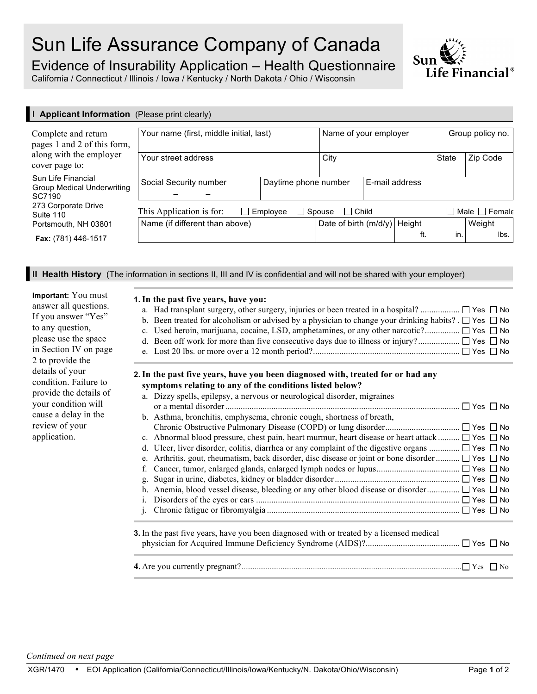# Sun Life Assurance Company of Canada

Evidence of Insurability Application – Health Questionnaire

California / Connecticut / Illinois / Iowa / Kentucky / North Dakota / Ohio / Wisconsin

| I Applicant Information (Please print clearly)             |                                                                              |                      |                                   |                |              |                  |                                           |
|------------------------------------------------------------|------------------------------------------------------------------------------|----------------------|-----------------------------------|----------------|--------------|------------------|-------------------------------------------|
| Complete and return<br>pages 1 and 2 of this form,         | Your name (first, middle initial, last)                                      |                      | Name of your employer             |                |              | Group policy no. |                                           |
| along with the employer<br>cover page to:                  | Your street address                                                          |                      | City                              |                | <b>State</b> | Zip Code         |                                           |
| Sun Life Financial<br>Group Medical Underwriting<br>SC7190 | Social Security number                                                       | Daytime phone number |                                   | E-mail address |              |                  |                                           |
| 273 Corporate Drive<br>Suite 110                           | This Application is for:<br>$\Box$ Spouse<br>$\Box$ Employee<br>$\Box$ Child |                      |                                   |                |              |                  | $\square$ Male $\square$ Femal $\epsilon$ |
| Portsmouth, NH 03801                                       | Name (if different than above)                                               |                      | Height<br>Date of birth $(m/d/y)$ |                |              |                  | Weight                                    |
| <b>Fax:</b> (781) 446-1517                                 |                                                                              |                      |                                   |                | ft.          | in.              | lbs.                                      |

**II Health History** (The information in sections II, III and IV is confidential and will not be shared with your employer)

| Important: You must    |
|------------------------|
| answer all questions.  |
| If you answer "Yes"    |
| to any question,       |
| please use the space   |
| in Section IV on page  |
| 2 to provide the       |
| details of your        |
| condition. Failure to  |
| provide the details of |
| your condition will    |
| cause a delay in the   |
| review of your         |
| application.           |

I

# **1.In the past five years, have you:**

| b. Been treated for alcoholism or advised by a physician to change your drinking habits? $\Box$ Yes $\Box$ No |  |
|---------------------------------------------------------------------------------------------------------------|--|
|                                                                                                               |  |
|                                                                                                               |  |

# **2.In the past five years, have you been diagnosed with, treated for or had any symptoms relating to any of the conditions listed below?**

|                | a. Dizzy spells, epilepsy, a nervous or neurological disorder, migraines                                   |
|----------------|------------------------------------------------------------------------------------------------------------|
|                | $\Box$ Yes $\Box$ No                                                                                       |
|                | b. Asthma, bronchitis, emphysema, chronic cough, shortness of breath,                                      |
|                |                                                                                                            |
|                | c. Abnormal blood pressure, chest pain, heart murmur, heart disease or heart attack $\Box$ Yes $\Box$ No   |
| d.             | Ulcer, liver disorder, colitis, diarrhea or any complaint of the digestive organs $\Box$ Yes $\Box$ No     |
|                | e. Arthritis, gout, rheumatism, back disorder, disc disease or joint or bone disorder $\Box$ Yes $\Box$ No |
| f.             |                                                                                                            |
| g.             |                                                                                                            |
|                |                                                                                                            |
| 1.             |                                                                                                            |
| $\mathbf{1}$ . |                                                                                                            |
|                | <b>3.</b> In the past five years, have you been diagnosed with or treated by a licensed medical            |
|                |                                                                                                            |
|                |                                                                                                            |

**4.** Are you currently pregnant?...................................................................................................................... Yes No